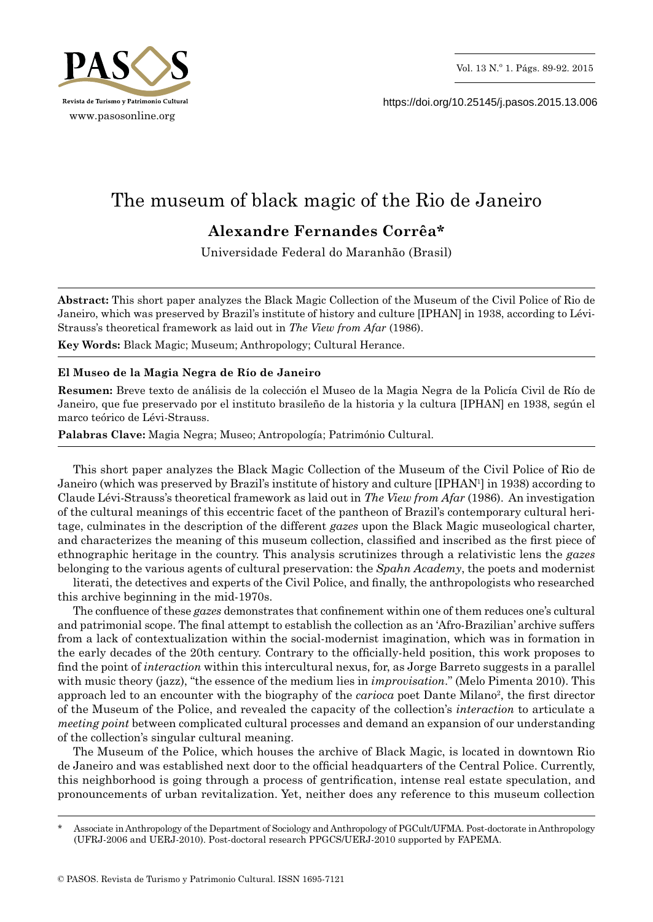

https://doi.org/10.25145/j.pasos.2015.13.006

## The museum of black magic of the Rio de Janeiro **Alexandre Fernandes Corrêa\***

Universidade Federal do Maranhão (Brasil)

**Abstract:** This short paper analyzes the Black Magic Collection of the Museum of the Civil Police of Rio de Janeiro, which was preserved by Brazil's institute of history and culture [IPHAN] in 1938, according to Lévi-Strauss's theoretical framework as laid out in *The View from Afar* (1986).

**Key Words:** Black Magic; Museum; Anthropology; Cultural Herance.

## **El Museo de la Magia Negra de Río de Janeiro**

**Resumen:** Breve texto de análisis de la colección el Museo de la Magia Negra de la Policía Civil de Río de Janeiro, que fue preservado por el instituto brasileño de la historia y la cultura [IPHAN] en 1938, según el marco teórico de Lévi-Strauss.

**Palabras Clave:** Magia Negra; Museo; Antropología; Património Cultural.

This short paper analyzes the Black Magic Collection of the Museum of the Civil Police of Rio de Janeiro (which was preserved by Brazil's institute of history and culture [IPHAN1 ] in 1938) according to Claude Lévi-Strauss's theoretical framework as laid out in *The View from Afar* (1986). An investigation of the cultural meanings of this eccentric facet of the pantheon of Brazil's contemporary cultural heritage, culminates in the description of the different *gazes* upon the Black Magic museological charter, and characterizes the meaning of this museum collection, classified and inscribed as the first piece of ethnographic heritage in the country. This analysis scrutinizes through a relativistic lens the *gazes* belonging to the various agents of cultural preservation: the *Spahn Academy*, the poets and modernist

literati, the detectives and experts of the Civil Police, and finally, the anthropologists who researched this archive beginning in the mid-1970s.

The confluence of these *gazes* demonstrates that confinement within one of them reduces one's cultural and patrimonial scope. The final attempt to establish the collection as an 'Afro-Brazilian' archive suffers from a lack of contextualization within the social-modernist imagination, which was in formation in the early decades of the 20th century. Contrary to the officially-held position, this work proposes to find the point of *interaction* within this intercultural nexus, for, as Jorge Barreto suggests in a parallel with music theory (jazz), "the essence of the medium lies in *improvisation*." (Melo Pimenta 2010). This approach led to an encounter with the biography of the *carioca* poet Dante Milano<sup>2</sup>, the first director of the Museum of the Police, and revealed the capacity of the collection's *interaction* to articulate a *meeting point* between complicated cultural processes and demand an expansion of our understanding of the collection's singular cultural meaning.

The Museum of the Police, which houses the archive of Black Magic, is located in downtown Rio de Janeiro and was established next door to the official headquarters of the Central Police. Currently, this neighborhood is going through a process of gentrification, intense real estate speculation, and pronouncements of urban revitalization. Yet, neither does any reference to this museum collection

Associate in Anthropology of the Department of Sociology and Anthropology of PGCult/UFMA. Post-doctorate in Anthropology (UFRJ-2006 and UERJ-2010). Post-doctoral research PPGCS/UERJ-2010 supported by FAPEMA.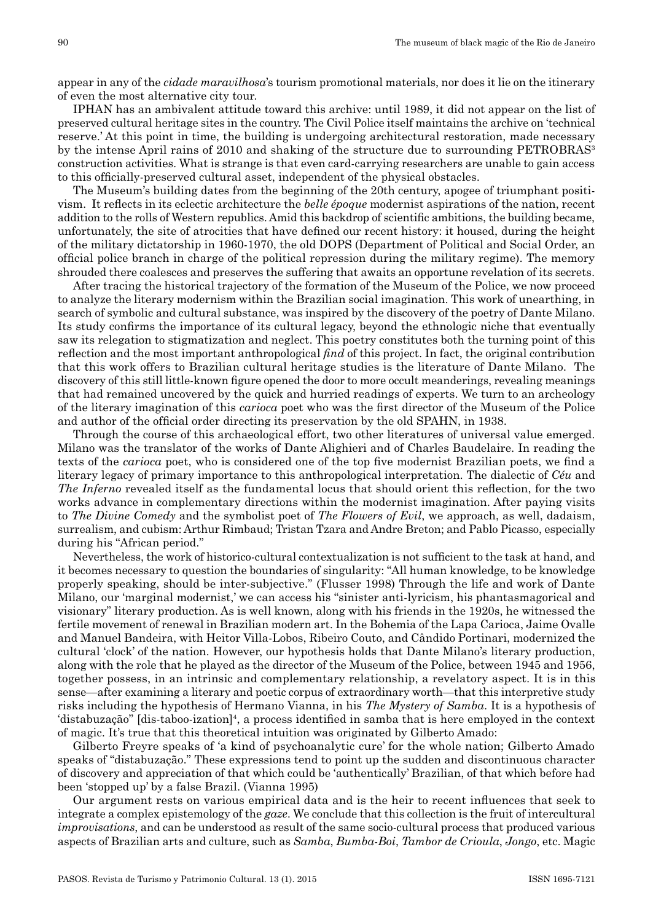appear in any of the *cidade maravilhosa*'s tourism promotional materials, nor does it lie on the itinerary of even the most alternative city tour.

IPHAN has an ambivalent attitude toward this archive: until 1989, it did not appear on the list of preserved cultural heritage sites in the country. The Civil Police itself maintains the archive on 'technical reserve.' At this point in time, the building is undergoing architectural restoration, made necessary by the intense April rains of 2010 and shaking of the structure due to surrounding PETROBRAS<sup>3</sup> construction activities. What is strange is that even card-carrying researchers are unable to gain access to this officially-preserved cultural asset, independent of the physical obstacles.

The Museum's building dates from the beginning of the 20th century, apogee of triumphant positivism. It reflects in its eclectic architecture the *belle époque* modernist aspirations of the nation, recent addition to the rolls of Western republics. Amid this backdrop of scientific ambitions, the building became, unfortunately, the site of atrocities that have defined our recent history: it housed, during the height of the military dictatorship in 1960-1970, the old DOPS (Department of Political and Social Order, an official police branch in charge of the political repression during the military regime). The memory shrouded there coalesces and preserves the suffering that awaits an opportune revelation of its secrets.

After tracing the historical trajectory of the formation of the Museum of the Police, we now proceed to analyze the literary modernism within the Brazilian social imagination. This work of unearthing, in search of symbolic and cultural substance, was inspired by the discovery of the poetry of Dante Milano. Its study confirms the importance of its cultural legacy, beyond the ethnologic niche that eventually saw its relegation to stigmatization and neglect. This poetry constitutes both the turning point of this reflection and the most important anthropological *find* of this project. In fact, the original contribution that this work offers to Brazilian cultural heritage studies is the literature of Dante Milano. The discovery of this still little-known figure opened the door to more occult meanderings, revealing meanings that had remained uncovered by the quick and hurried readings of experts. We turn to an archeology of the literary imagination of this *carioca* poet who was the first director of the Museum of the Police and author of the official order directing its preservation by the old SPAHN, in 1938.

Through the course of this archaeological effort, two other literatures of universal value emerged. Milano was the translator of the works of Dante Alighieri and of Charles Baudelaire. In reading the texts of the *carioca* poet, who is considered one of the top five modernist Brazilian poets, we find a literary legacy of primary importance to this anthropological interpretation. The dialectic of *Céu* and *The Inferno* revealed itself as the fundamental locus that should orient this reflection, for the two works advance in complementary directions within the modernist imagination. After paying visits to *The Divine Comedy* and the symbolist poet of *The Flowers of Evil*, we approach, as well, dadaism, surrealism, and cubism: Arthur Rimbaud; Tristan Tzara and Andre Breton; and Pablo Picasso, especially during his "African period."

Nevertheless, the work of historico-cultural contextualization is not sufficient to the task at hand, and it becomes necessary to question the boundaries of singularity: "All human knowledge, to be knowledge properly speaking, should be inter-subjective." (Flusser 1998) Through the life and work of Dante Milano, our 'marginal modernist,' we can access his "sinister anti-lyricism, his phantasmagorical and visionary" literary production. As is well known, along with his friends in the 1920s, he witnessed the fertile movement of renewal in Brazilian modern art. In the Bohemia of the Lapa Carioca, Jaime Ovalle and Manuel Bandeira, with Heitor Villa-Lobos, Ribeiro Couto, and Cândido Portinari, modernized the cultural 'clock' of the nation. However, our hypothesis holds that Dante Milano's literary production, along with the role that he played as the director of the Museum of the Police, between 1945 and 1956, together possess, in an intrinsic and complementary relationship, a revelatory aspect. It is in this sense—after examining a literary and poetic corpus of extraordinary worth—that this interpretive study risks including the hypothesis of Hermano Vianna, in his *The Mystery of Samba*. It is a hypothesis of 'distabuzação" [dis-taboo-ization]4 , a process identified in samba that is here employed in the context of magic. It's true that this theoretical intuition was originated by Gilberto Amado:

Gilberto Freyre speaks of 'a kind of psychoanalytic cure' for the whole nation; Gilberto Amado speaks of "distabuzação." These expressions tend to point up the sudden and discontinuous character of discovery and appreciation of that which could be 'authentically' Brazilian, of that which before had been 'stopped up' by a false Brazil. (Vianna 1995)

Our argument rests on various empirical data and is the heir to recent influences that seek to integrate a complex epistemology of the *gaze*. We conclude that this collection is the fruit of intercultural *improvisations*, and can be understood as result of the same socio-cultural process that produced various aspects of Brazilian arts and culture, such as *Samba*, *Bumba-Boi*, *Tambor de Crioula*, *Jongo*, etc. Magic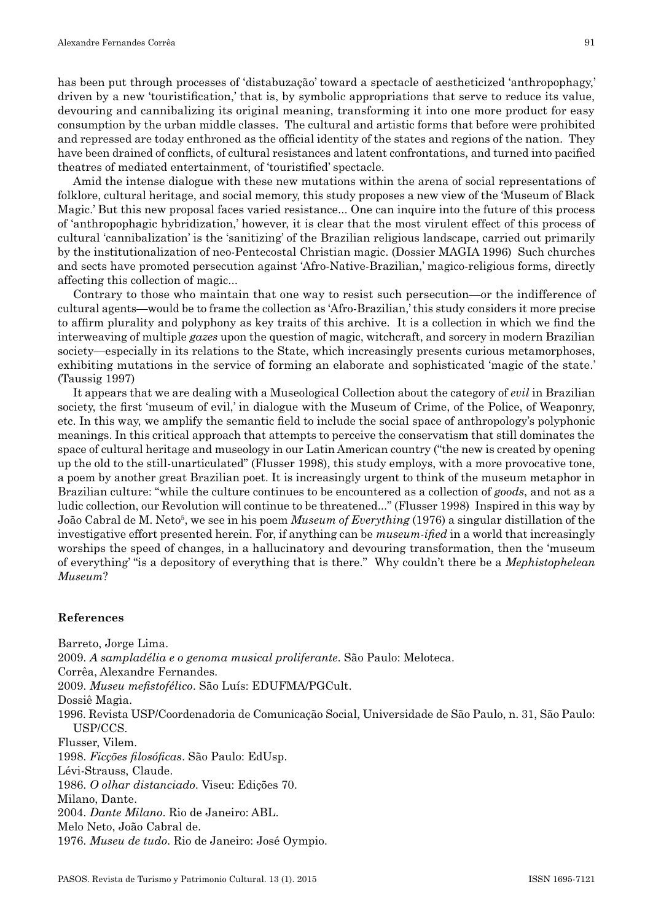has been put through processes of 'distabuzação' toward a spectacle of aestheticized 'anthropophagy,' driven by a new 'touristification,' that is, by symbolic appropriations that serve to reduce its value, devouring and cannibalizing its original meaning, transforming it into one more product for easy consumption by the urban middle classes. The cultural and artistic forms that before were prohibited and repressed are today enthroned as the official identity of the states and regions of the nation. They have been drained of conflicts, of cultural resistances and latent confrontations, and turned into pacified theatres of mediated entertainment, of 'touristified' spectacle.

Amid the intense dialogue with these new mutations within the arena of social representations of folklore, cultural heritage, and social memory, this study proposes a new view of the 'Museum of Black Magic.' But this new proposal faces varied resistance... One can inquire into the future of this process of 'anthropophagic hybridization,' however, it is clear that the most virulent effect of this process of cultural 'cannibalization' is the 'sanitizing' of the Brazilian religious landscape, carried out primarily by the institutionalization of neo-Pentecostal Christian magic. (Dossier MAGIA 1996) Such churches and sects have promoted persecution against 'Afro-Native-Brazilian,' magico-religious forms, directly affecting this collection of magic...

Contrary to those who maintain that one way to resist such persecution—or the indifference of cultural agents—would be to frame the collection as 'Afro-Brazilian,' this study considers it more precise to affirm plurality and polyphony as key traits of this archive. It is a collection in which we find the interweaving of multiple *gazes* upon the question of magic, witchcraft, and sorcery in modern Brazilian society—especially in its relations to the State, which increasingly presents curious metamorphoses, exhibiting mutations in the service of forming an elaborate and sophisticated 'magic of the state.' (Taussig 1997)

It appears that we are dealing with a Museological Collection about the category of *evil* in Brazilian society, the first 'museum of evil,' in dialogue with the Museum of Crime, of the Police, of Weaponry, etc. In this way, we amplify the semantic field to include the social space of anthropology's polyphonic meanings. In this critical approach that attempts to perceive the conservatism that still dominates the space of cultural heritage and museology in our Latin American country ("the new is created by opening up the old to the still-unarticulated" (Flusser 1998), this study employs, with a more provocative tone, a poem by another great Brazilian poet. It is increasingly urgent to think of the museum metaphor in Brazilian culture: "while the culture continues to be encountered as a collection of *goods*, and not as a ludic collection, our Revolution will continue to be threatened..." (Flusser 1998) Inspired in this way by João Cabral de M. Neto5 , we see in his poem *Museum of Everything* (1976) a singular distillation of the investigative effort presented herein. For, if anything can be *museum-ified* in a world that increasingly worships the speed of changes, in a hallucinatory and devouring transformation, then the 'museum of everything' "is a depository of everything that is there." Why couldn't there be a *Mephistophelean Museum*?

## **References**

Barreto, Jorge Lima. 2009. *A sampladélia e o genoma musical proliferante*. São Paulo: Meloteca. Corrêa, Alexandre Fernandes. 2009. *Museu mefistofélico*. São Luís: EDUFMA/PGCult. Dossiê Magia. 1996. Revista USP/Coordenadoria de Comunicação Social, Universidade de São Paulo, n. 31, São Paulo: USP/CCS. Flusser, Vilem. 1998. *Ficções filosóficas*. São Paulo: EdUsp. Lévi-Strauss, Claude. 1986. *O olhar distanciado*. Viseu: Edições 70. Milano, Dante. 2004. *Dante Milano*. Rio de Janeiro: ABL. Melo Neto, João Cabral de. 1976. *Museu de tudo*. Rio de Janeiro: José Oympio.